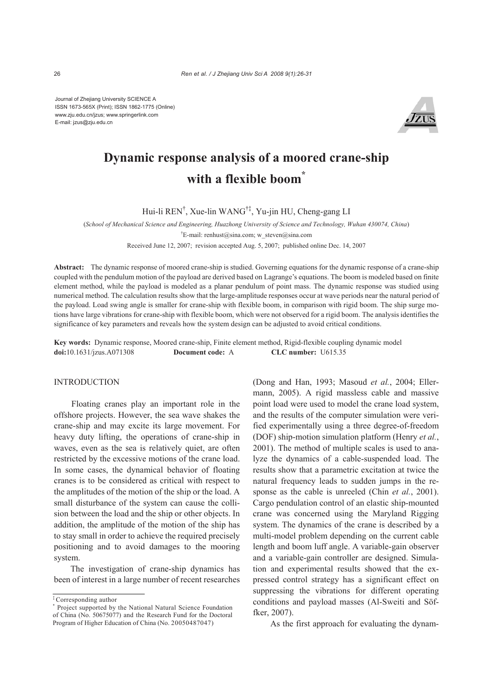Journal of Zhejiang University SCIENCE A ISSN 1673-565X (Print); ISSN 1862-1775 (Online) www.zju.edu.cn/jzus; www.springerlink.com E-mail: jzus@zju.edu.cn



# **Dynamic response analysis of a moored crane-ship with a flexible boom\***

Hui-li REN† , Xue-lin WANG†‡, Yu-jin HU, Cheng-gang LI

(*School of Mechanical Science and Engineering, Huazhong University of Science and Technology, Wuhan 430074, China*)

† E-mail: renhust@sina.com; w\_steven@sina.com

Received June 12, 2007; revision accepted Aug. 5, 2007; published online Dec. 14, 2007

**Abstract:** The dynamic response of moored crane-ship is studied. Governing equations for the dynamic response of a crane-ship coupled with the pendulum motion of the payload are derived based on Lagrange's equations. The boom is modeled based on finite element method, while the payload is modeled as a planar pendulum of point mass. The dynamic response was studied using numerical method. The calculation results show that the large-amplitude responses occur at wave periods near the natural period of the payload. Load swing angle is smaller for crane-ship with flexible boom, in comparison with rigid boom. The ship surge motions have large vibrations for crane-ship with flexible boom, which were not observed for a rigid boom. The analysis identifies the significance of key parameters and reveals how the system design can be adjusted to avoid critical conditions.

**Key words:** Dynamic response, Moored crane-ship, Finite element method, Rigid-flexible coupling dynamic model **doi:**10.1631/jzus.A071308 **Document code:** A **CLC number:** U615.35

#### INTRODUCTION

Floating cranes play an important role in the offshore projects. However, the sea wave shakes the crane-ship and may excite its large movement. For heavy duty lifting, the operations of crane-ship in waves, even as the sea is relatively quiet, are often restricted by the excessive motions of the crane load. In some cases, the dynamical behavior of floating cranes is to be considered as critical with respect to the amplitudes of the motion of the ship or the load. A small disturbance of the system can cause the collision between the load and the ship or other objects. In addition, the amplitude of the motion of the ship has to stay small in order to achieve the required precisely positioning and to avoid damages to the mooring system.

The investigation of crane-ship dynamics has been of interest in a large number of recent researches (Dong and Han, 1993; Masoud *et al.*, 2004; Ellermann, 2005). A rigid massless cable and massive point load were used to model the crane load system, and the results of the computer simulation were verified experimentally using a three degree-of-freedom (DOF) ship-motion simulation platform (Henry *et al.*, 2001). The method of multiple scales is used to analyze the dynamics of a cable-suspended load. The results show that a parametric excitation at twice the natural frequency leads to sudden jumps in the response as the cable is unreeled (Chin *et al.*, 2001). Cargo pendulation control of an elastic ship-mounted crane was concerned using the Maryland Rigging system. The dynamics of the crane is described by a multi-model problem depending on the current cable length and boom luff angle. A variable-gain observer and a variable-gain controller are designed. Simulation and experimental results showed that the expressed control strategy has a significant effect on suppressing the vibrations for different operating conditions and payload masses (Al-Sweiti and Söffker, 2007).

As the first approach for evaluating the dynam-

<sup>‡</sup> Corresponding author

<sup>\*</sup> Project supported by the National Natural Science Foundation of China (No. 50675077) and the Research Fund for the Doctoral Program of Higher Education of China (No. 20050487047)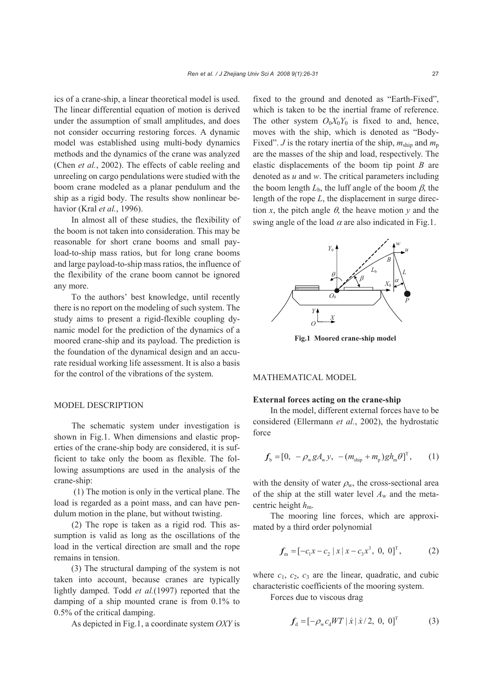ics of a crane-ship, a linear theoretical model is used. The linear differential equation of motion is derived under the assumption of small amplitudes, and does not consider occurring restoring forces. A dynamic model was established using multi-body dynamics methods and the dynamics of the crane was analyzed (Chen *et al.*, 2002). The effects of cable reeling and unreeling on cargo pendulations were studied with the boom crane modeled as a planar pendulum and the ship as a rigid body. The results show nonlinear behavior (Kral *et al.*, 1996).

In almost all of these studies, the flexibility of the boom is not taken into consideration. This may be reasonable for short crane booms and small payload-to-ship mass ratios, but for long crane booms and large payload-to-ship mass ratios, the influence of the flexibility of the crane boom cannot be ignored any more.

To the authors' best knowledge, until recently there is no report on the modeling of such system. The study aims to present a rigid-flexible coupling dynamic model for the prediction of the dynamics of a moored crane-ship and its payload. The prediction is the foundation of the dynamical design and an accurate residual working life assessment. It is also a basis for the control of the vibrations of the system.

## MODEL DESCRIPTION

The schematic system under investigation is shown in Fig.1. When dimensions and elastic properties of the crane-ship body are considered, it is sufficient to take only the boom as flexible. The following assumptions are used in the analysis of the crane-ship:

 (1) The motion is only in the vertical plane. The load is regarded as a point mass, and can have pendulum motion in the plane, but without twisting.

(2) The rope is taken as a rigid rod. This assumption is valid as long as the oscillations of the load in the vertical direction are small and the rope remains in tension.

(3) The structural damping of the system is not taken into account, because cranes are typically lightly damped. Todd *et al.*(1997) reported that the damping of a ship mounted crane is from 0.1% to 0.5% of the critical damping.

As depicted in Fig.1, a coordinate system *OXY* is

fixed to the ground and denoted as "Earth-Fixed", which is taken to be the inertial frame of reference. The other system  $O_0X_0Y_0$  is fixed to and, hence, moves with the ship, which is denoted as "Body-Fixed". *J* is the rotary inertia of the ship,  $m_{\text{ship}}$  and  $m_{\text{p}}$ are the masses of the ship and load, respectively. The elastic displacements of the boom tip point *B* are denoted as *u* and *w*. The critical parameters including the boom length  $L_b$ , the luff angle of the boom  $\beta$ , the length of the rope *L*, the displacement in surge direction *x*, the pitch angle  $\theta$ , the heave motion *y* and the swing angle of the load  $\alpha$  are also indicated in Fig.1.



**Fig.1 Moored crane-ship model**

## MATHEMATICAL MODEL

## **External forces acting on the crane-ship**

In the model, different external forces have to be considered (Ellermann *et al.*, 2002), the hydrostatic force

$$
f_{\rm b} = [0, -\rho_{\rm w} g A_{\rm w} y, -(m_{\rm ship} + m_{\rm p}) g h_{\rm m} \theta]^{T}, \qquad (1)
$$

with the density of water  $\rho_w$ , the cross-sectional area of the ship at the still water level  $A_w$  and the metacentric height  $h_m$ .

The mooring line forces, which are approximated by a third order polynomial

$$
f_{\mathbf{m}} = [-c_1 x - c_2 | x | x - c_3 x^3, 0, 0]^{\mathrm{T}}, \tag{2}
$$

where  $c_1$ ,  $c_2$ ,  $c_3$  are the linear, quadratic, and cubic characteristic coefficients of the mooring system.

Forces due to viscous drag

$$
f_{d} = [-\rho_{w} c_{d} W T | \dot{x} | \dot{x}/2, 0, 0]^{T}
$$
 (3)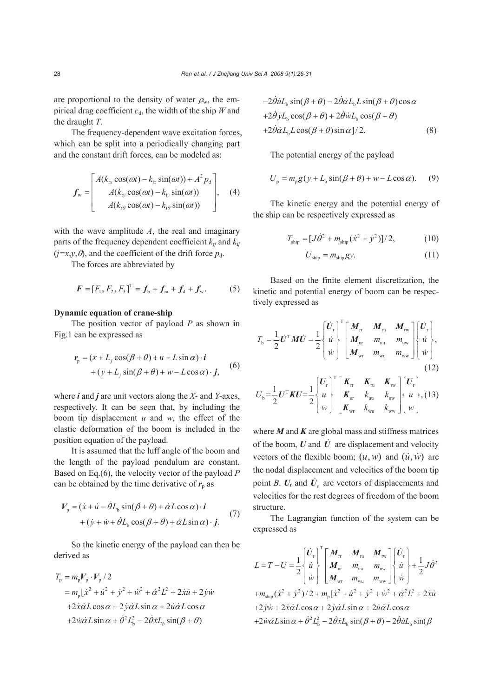are proportional to the density of water  $\rho_w$ , the empirical drag coefficient  $c_d$ , the width of the ship *W* and the draught *T*.

The frequency-dependent wave excitation forces, which can be split into a periodically changing part and the constant drift forces, can be modeled as:

$$
f_{\rm w} = \begin{bmatrix} A(k_{\rm rx} \cos(\omega t) - k_{\rm rx} \sin(\omega t)) + A^2 p_{\rm d} \\ A(k_{\rm ry} \cos(\omega t) - k_{\rm iy} \sin(\omega t)) \\ A(k_{\rm r\theta} \cos(\omega t) - k_{\rm i\theta} \sin(\omega t)) \end{bmatrix}, \quad (4)
$$

with the wave amplitude *A*, the real and imaginary parts of the frequency dependent coefficient  $k_{ri}$  and  $k_{ij}$  $(j=x,y,\theta)$ , and the coefficient of the drift force  $p_d$ .

The forces are abbreviated by

$$
\boldsymbol{F} = [F_1, F_2, F_3]^{\mathrm{T}} = \boldsymbol{f}_b + \boldsymbol{f}_m + \boldsymbol{f}_d + \boldsymbol{f}_w. \tag{5}
$$

## **Dynamic equation of crane-ship**

The position vector of payload *P* as shown in Fig.1 can be expressed as

$$
\mathbf{r}_{\mathrm{p}} = (x + L_{j} \cos(\beta + \theta) + u + L \sin \alpha) \cdot \mathbf{i} + (y + L_{j} \sin(\beta + \theta) + w - L \cos \alpha) \cdot \mathbf{j},
$$
 (6)

where *i* and *j* are unit vectors along the *X*- and *Y*-axes, respectively. It can be seen that, by including the boom tip displacement *u* and *w*, the effect of the elastic deformation of the boom is included in the position equation of the payload.

It is assumed that the luff angle of the boom and the length of the payload pendulum are constant. Based on Eq.(6), the velocity vector of the payload *P* can be obtained by the time derivative of  $r_p$  as

$$
V_{\rm p} = (\dot{x} + \dot{u} - \dot{\theta}L_{\rm b}\sin(\beta + \theta) + \dot{\alpha}L\cos\alpha) \cdot \dot{\mathbf{i}} + (\dot{y} + \dot{w} + \dot{\theta}L_{\rm b}\cos(\beta + \theta) + \dot{\alpha}L\sin\alpha) \cdot \dot{\mathbf{j}}.
$$
 (7)

So the kinetic energy of the payload can then be derived as

$$
T_{\rm p} = m_{\rm p} V_{\rm p} \cdot V_{\rm p} / 2
$$
  
=  $m_{\rm p} [\dot{x}^2 + \dot{u}^2 + \dot{y}^2 + \dot{w}^2 + \dot{\alpha}^2 L^2 + 2 \dot{x} \dot{u} + 2 \dot{y} \dot{w}$   
+ $2 \dot{x} \dot{\alpha} L \cos \alpha + 2 \dot{y} \dot{\alpha} L \sin \alpha + 2 \dot{u} \dot{\alpha} L \cos \alpha$   
+ $2 \dot{w} \dot{\alpha} L \sin \alpha + \dot{\theta}^2 L_{\rm b}^2 - 2 \dot{\theta} \dot{x} L_{\rm b} \sin(\beta + \theta)$ 

$$
-2\dot{\theta}\dot{u}L_{\rm b}\sin(\beta+\theta) - 2\dot{\theta}\dot{\alpha}L_{\rm b}L\sin(\beta+\theta)\cos\alpha
$$
  
+2\dot{\theta}\dot{\gamma}L\_{\rm b}\cos(\beta+\theta) + 2\dot{\theta}\dot{\gamma}L\_{\rm b}\cos(\beta+\theta)  
+2\dot{\theta}\dot{\alpha}L\_{\rm b}L\cos(\beta+\theta)\sin\alpha]/2. (8)

The potential energy of the payload

$$
U_p = m_p g(y + L_b \sin(\beta + \theta) + w - L \cos \alpha). \tag{9}
$$

The kinetic energy and the potential energy of the ship can be respectively expressed as

$$
T_{\text{ship}} = [J\dot{\theta}^2 + m_{\text{ship}}(\dot{x}^2 + \dot{y}^2)]/2, \tag{10}
$$

$$
U_{\text{ship}} = m_{\text{ship}} gy. \tag{11}
$$

Based on the finite element discretization, the kinetic and potential energy of boom can be respectively expressed as

$$
T_{\text{b}} = \frac{1}{2} \dot{\boldsymbol{U}}^{\text{T}} \boldsymbol{M} \dot{\boldsymbol{U}} = \frac{1}{2} \begin{bmatrix} \dot{\boldsymbol{U}}_{\text{r}} \\ \dot{u} \\ \dot{w} \end{bmatrix}^{\text{T}} \begin{bmatrix} \boldsymbol{M}_{\text{rr}} & \boldsymbol{M}_{\text{nu}} & \boldsymbol{M}_{\text{nv}} \\ \boldsymbol{M}_{\text{ur}} & \boldsymbol{m}_{\text{nu}} & \boldsymbol{m}_{\text{uw}} \\ \boldsymbol{M}_{\text{wr}} & \boldsymbol{m}_{\text{wu}} & \boldsymbol{m}_{\text{ww}} \end{bmatrix} \begin{bmatrix} \dot{\boldsymbol{U}}_{\text{r}} \\ \dot{u} \\ \dot{w} \end{bmatrix},
$$
\n(12)

$$
U_{\rm b} = \frac{1}{2} U^{\rm T} K U = \frac{1}{2} \begin{bmatrix} U_{\rm r} \\ u \\ w \end{bmatrix}^{\rm T} \begin{bmatrix} K_{\rm tr} & K_{\rm ru} & K_{\rm rw} \\ K_{\rm ur} & k_{\rm uu} & k_{\rm uw} \\ K_{\rm wr} & k_{\rm wa} & k_{\rm ww} \end{bmatrix} \begin{bmatrix} U_{\rm r} \\ u \\ w \end{bmatrix}, (13)
$$

where *M* and *K* are global mass and stiffness matrices of the boom,  $U$  and  $\dot{U}$  are displacement and velocity vectors of the flexible boom;  $(u, w)$  and  $(\dot{u}, \dot{w})$  are the nodal displacement and velocities of the boom tip point *B*.  $U_r$  and  $\dot{U}_r$  are vectors of displacements and velocities for the rest degrees of freedom of the boom structure.

The Lagrangian function of the system can be expressed as

$$
L = T - U = \frac{1}{2} \begin{bmatrix} \dot{U}_{\rm r} \\ \dot{u} \\ \dot{w} \end{bmatrix}^{\rm T} \begin{bmatrix} M_{\rm nr} & M_{\rm nu} & M_{\rm rw} \\ M_{\rm ur} & m_{\rm uu} & m_{\rm uw} \\ M_{\rm wr} & m_{\rm wa} & m_{\rm ww} \end{bmatrix} \begin{bmatrix} \dot{U}_{\rm r} \\ \dot{u} \\ \dot{w} \end{bmatrix} + \frac{1}{2} J \dot{\theta}^2
$$
  
+ $m_{\rm ship} (\dot{x}^2 + \dot{y}^2)/2 + m_{\rm p} [\dot{x}^2 + \dot{u}^2 + \dot{y}^2 + \dot{w}^2 + \dot{\alpha}^2 L^2 + 2 \dot{x} \dot{u}$   
+ $2 \dot{y} \dot{w} + 2 \dot{x} \dot{\alpha} L \cos \alpha + 2 \dot{y} \dot{\alpha} L \sin \alpha + 2 \dot{u} \dot{\alpha} L \cos \alpha$   
+ $2 \dot{w} \dot{\alpha} L \sin \alpha + \dot{\theta}^2 L_{\rm b}^2 - 2 \dot{\theta} \dot{x} L_{\rm b} \sin(\beta + \theta) - 2 \dot{\theta} \dot{u} L_{\rm b} \sin(\beta$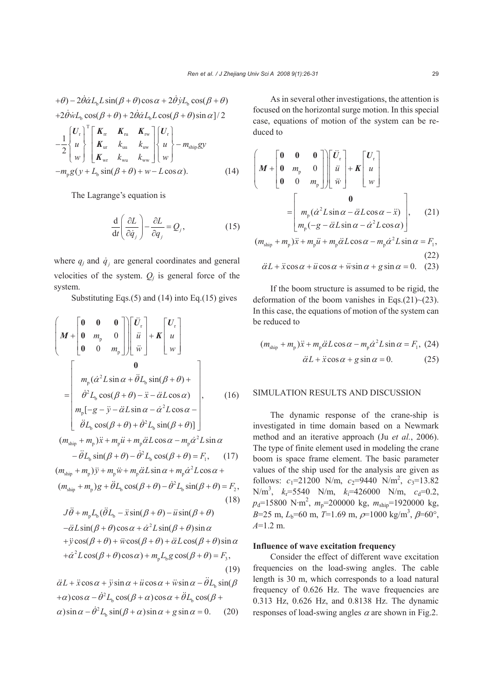$$
+\theta) - 2\dot{\theta}\dot{\alpha}L_{\text{b}}L\sin(\beta + \theta)\cos\alpha + 2\dot{\theta}\dot{\gamma}L_{\text{b}}\cos(\beta + \theta)
$$
  
+2\dot{\theta}\dot{\gamma}L\_{\text{b}}\cos(\beta + \theta) + 2\dot{\theta}\dot{\alpha}L\_{\text{b}}L\cos(\beta + \theta)\sin\alpha]/2  
-
$$
\frac{1}{2}\begin{bmatrix} \mathbf{U}_{\text{r}} \\ u \\ w \end{bmatrix}^{\text{T}}\begin{bmatrix} \mathbf{K}_{\text{rr}} & \mathbf{K}_{\text{ru}} & \mathbf{K}_{\text{rw}} \\ \mathbf{K}_{\text{ur}} & k_{\text{uu}} & k_{\text{uw}} \end{bmatrix} \begin{bmatrix} \mathbf{U}_{\text{r}} \\ u \\ w \end{bmatrix} - m_{\text{ship}}gy
$$
  
-
$$
m_{\text{p}}g(y + L_{\text{b}}\sin(\beta + \theta) + w - L\cos\alpha). \tag{14}
$$

The Lagrange's equation is

$$
\frac{\mathrm{d}}{\mathrm{d}t} \left( \frac{\partial L}{\partial \dot{q}_j} \right) - \frac{\partial L}{\partial q_j} = Q_j, \tag{15}
$$

where  $q_j$  and  $\dot{q}_j$  are general coordinates and general velocities of the system.  $Q_i$  is general force of the system.

Substituting Eqs.(5) and (14) into Eq.(15) gives

$$
\begin{pmatrix}\n\mathbf{M} + \begin{bmatrix}\n\mathbf{0} & \mathbf{0} & \mathbf{0} \\
\mathbf{0} & m_{p} & 0 \\
\mathbf{0} & 0 & m_{p}\n\end{bmatrix}\n\begin{bmatrix}\n\ddot{U}_{r} \\
\ddot{u} \\
\ddot{w}\n\end{bmatrix} + \mathbf{K}\begin{bmatrix}\nU_{r} \\
u \\
w\n\end{bmatrix}
$$
\n
$$
= \begin{bmatrix}\n\mathbf{0} \\
m_{p}(\dot{\alpha}^{2}L\sin\alpha + \ddot{\theta}L_{b}\sin(\beta + \theta) + \dot{\theta}^{2}L_{b}\cos(\beta + \theta) + \dot{\theta}^{2}L_{b}\cos(\beta + \theta) - \ddot{x} - \ddot{\alpha}L\cos\alpha \\
m_{p}[-g - \ddot{y} - \ddot{\alpha}L\sin\alpha - \dot{\alpha}^{2}L\cos\alpha - \dot{\theta}^{2}L_{b}\sin(\beta + \theta)]\n\end{bmatrix},
$$
\n
$$
(16)
$$
\n
$$
(m_{\text{ship}} + m_{p})\ddot{x} + m_{p}\ddot{u} + m_{p}\ddot{\alpha}L\cos\alpha - m_{p}\dot{\alpha}^{2}L\sin\alpha
$$

$$
-\ddot{\theta}L_{\text{b}}\sin(\beta+\theta)-\dot{\theta}^{2}L_{\text{b}}\cos(\beta+\theta)=F_{1},\qquad(17)
$$

 $(m_{\text{ship}} + m_{\text{p}})\ddot{y} + m_{\text{p}}\ddot{w} + m_{\text{p}}\ddot{\alpha}L\sin\alpha + m_{\text{p}}\dot{\alpha}^2L\cos\alpha +$  $(m<sub>ship</sub> + m<sub>p</sub>)g + \ddot{\theta}L<sub>b</sub> \cos(\beta + \theta) - \dot{\theta}^2 L_b \sin(\beta + \theta) = F_2$ (18)

$$
J\ddot{\theta} + m_p L_b (\ddot{\theta} L_b - \ddot{x} \sin(\beta + \theta) - \ddot{u} \sin(\beta + \theta) \n- \ddot{\alpha} L \sin(\beta + \theta) \cos \alpha + \dot{\alpha}^2 L \sin(\beta + \theta) \sin \alpha \n+ \ddot{y} \cos(\beta + \theta) + \ddot{w} \cos(\beta + \theta) + \ddot{\alpha} L \cos(\beta + \theta) \sin \alpha \n+ \dot{\alpha}^2 L \cos(\beta + \theta) \cos \alpha) + m_p L_b g \cos(\beta + \theta) = F_3,
$$
\n(19)

$$
\ddot{\alpha}L + \ddot{x}\cos\alpha + \ddot{y}\sin\alpha + \ddot{u}\cos\alpha + \ddot{w}\sin\alpha - \ddot{\theta}L_{\text{b}}\sin(\beta
$$
  
+ $\alpha$ )cos $\alpha - \dot{\theta}^2L_{\text{b}}\cos(\beta + \alpha)\cos\alpha + \ddot{\theta}L_{\text{b}}\cos(\beta + \alpha)\sin\alpha - \dot{\theta}^2L_{\text{b}}\sin(\beta + \alpha)\sin\alpha + g\sin\alpha = 0.$  (20)

As in several other investigations, the attention is focused on the horizontal surge motion. In this special case, equations of motion of the system can be reduced to

$$
\begin{pmatrix}\n\mathbf{M} + \begin{bmatrix}\n\mathbf{0} & \mathbf{0} & \mathbf{0} \\
\mathbf{0} & m_{\text{p}} & 0 \\
\mathbf{0} & 0 & m_{\text{p}}\n\end{bmatrix}\n\begin{bmatrix}\n\ddot{U}_{\text{r}} \\
\ddot{u} \\
\ddot{w}\n\end{bmatrix} + \mathbf{K} \begin{bmatrix}\nU_{\text{r}} \\
u \\
w\n\end{bmatrix}
$$
\n
$$
= \begin{bmatrix}\n\mathbf{0} \\
m_{\text{p}}(\dot{\alpha}^{2}L\sin\alpha - \ddot{\alpha}L\cos\alpha - \ddot{x}) \\
m_{\text{p}}(-g - \ddot{\alpha}L\sin\alpha - \dot{\alpha}^{2}L\cos\alpha)\n\end{bmatrix}, \quad (21)
$$
\n
$$
(m_{\text{ship}} + m_{\text{p}})\ddot{x} + m_{\text{p}}\ddot{u} + m_{\text{p}}\ddot{\alpha}L\cos\alpha - m_{\text{p}}\dot{\alpha}^{2}L\sin\alpha = F_{1}, \quad (22)
$$
\n
$$
\ddot{x} + \ddot{x} + \ddot{x} + \ddot{x} + \ddot{x} + \ddot{x} + \ddot{x} + \ddot{x} + \ddot{x} + \ddot{x} + \ddot{x} + \ddot{x} + \ddot{x} + \ddot{x} + \ddot{x} + \ddot{x} + \ddot{x} + \ddot{x} + \ddot{x} + \ddot{x} + \ddot{x} + \ddot{x} + \ddot{x} + \ddot{x} + \ddot{x} + \ddot{x} + \ddot{x} + \ddot{x} + \ddot{x} + \ddot{x} + \ddot{x} + \ddot{x} + \ddot{x} + \ddot{x} + \ddot{x} + \ddot{x} + \ddot{x} + \ddot{x} + \ddot{x} + \ddot{x} + \ddot{x} + \ddot{x} + \ddot{x} + \ddot{x} + \ddot{x} + \ddot{x} + \ddot{x} + \ddot{x} + \ddot{x} + \ddot{x} + \ddot{x} + \ddot{x} + \ddot{x} + \ddot{x} + \ddot{x} + \ddot{x} + \ddot{x} + \ddot{x} + \ddot{x} + \ddot{x} + \ddot{x} + \ddot{x} + \ddot{x} + \ddot{x} + \ddot{x}
$$

$$
\ddot{\alpha}L + \ddot{x}\cos\alpha + \ddot{u}\cos\alpha + \ddot{w}\sin\alpha + g\sin\alpha = 0. \quad (23)
$$

If the boom structure is assumed to be rigid, the deformation of the boom vanishes in Eqs.(21) $\sim$ (23). In this case, the equations of motion of the system can be reduced to

$$
(m_{\text{ship}} + m_{\text{p}})\ddot{x} + m_{\text{p}}\ddot{\alpha}L\cos\alpha - m_{\text{p}}\dot{\alpha}^{2}L\sin\alpha = F_{1}, (24)
$$

$$
\ddot{\alpha}L + \ddot{x}\cos\alpha + g\sin\alpha = 0. \qquad (25)
$$

#### SIMULATION RESULTS AND DISCUSSION

The dynamic response of the crane-ship is investigated in time domain based on a Newmark method and an iterative approach (Ju *et al.*, 2006). The type of finite element used in modeling the crane boom is space frame element. The basic parameter values of the ship used for the analysis are given as follows:  $c_1 = 21200 \text{ N/m}, c_2 = 9440 \text{ N/m}^2, c_3 = 13.82$ N/m<sup>3</sup>,  $k_f$ =5540 N/m,  $k_i$ =426000 N/m,  $c_d$ =0.2,  $p_d$ =15800 N·m<sup>2</sup>,  $m_p$ =200000 kg,  $m_{\text{ship}}$ =1920000 kg,  $B=25$  m,  $L_b=60$  m,  $T=1.69$  m,  $\rho=1000$  kg/m<sup>3</sup>,  $\beta=60^\circ$ , *A*=1.2 m.

### **Influence of wave excitation frequency**

Consider the effect of different wave excitation frequencies on the load-swing angles. The cable length is 30 m, which corresponds to a load natural frequency of 0.626 Hz. The wave frequencies are 0.313 Hz, 0.626 Hz, and 0.8138 Hz. The dynamic responses of load-swing angles  $\alpha$  are shown in Fig.2.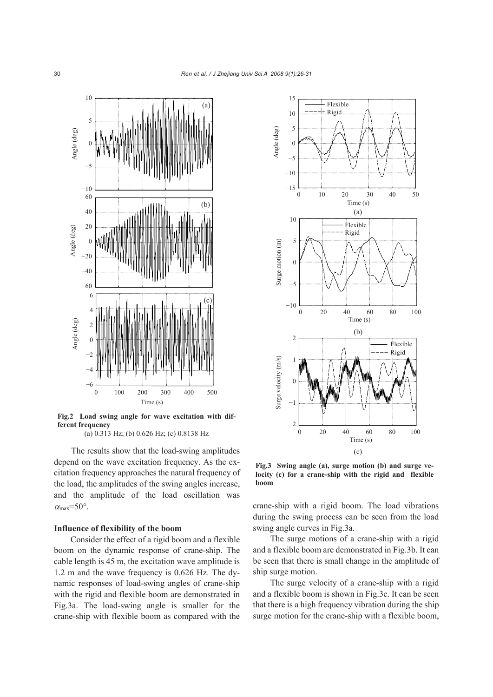

**Fig.2 Load swing angle for wave excitation with different frequency** 

(a) 0.313 Hz; (b) 0.626 Hz; (c) 0.8138 Hz

The results show that the load-swing amplitudes depend on the wave excitation frequency. As the excitation frequency approaches the natural frequency of the load, the amplitudes of the swing angles increase, and the amplitude of the load oscillation was  $\alpha_{\text{max}}$ =50°.

#### **Influence of flexibility of the boom**

Consider the effect of a rigid boom and a flexible boom on the dynamic response of crane-ship. The cable length is 45 m, the excitation wave amplitude is 1.2 m and the wave frequency is 0.626 Hz. The dynamic responses of load-swing angles of crane-ship with the rigid and flexible boom are demonstrated in Fig.3a. The load-swing angle is smaller for the crane-ship with flexible boom as compared with the



**Fig.3 Swing angle (a), surge motion (b) and surge velocity (c) for a crane-ship with the rigid and flexible boom**

crane-ship with a rigid boom. The load vibrations during the swing process can be seen from the load swing angle curves in Fig.3a.

The surge motions of a crane-ship with a rigid and a flexible boom are demonstrated in Fig.3b. It can be seen that there is small change in the amplitude of ship surge motion.

The surge velocity of a crane-ship with a rigid and a flexible boom is shown in Fig.3c. It can be seen that there is a high frequency vibration during the ship surge motion for the crane-ship with a flexible boom,